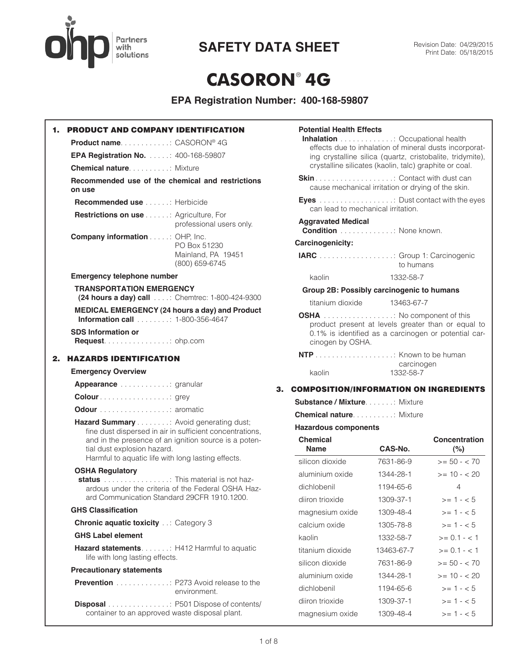

**SAFETY DATA SHEET** Revision Date: 04/29/2015

# **CASORON**® **4G**

| 1. | <b>PRODUCT AND COMPANY IDENTIFICATION</b>                                                                                                                                                                                                       |
|----|-------------------------------------------------------------------------------------------------------------------------------------------------------------------------------------------------------------------------------------------------|
|    | Product name: CASORON® 4G                                                                                                                                                                                                                       |
|    | EPA Registration No. : 400-168-59807                                                                                                                                                                                                            |
|    | <b>Chemical nature Community Mixture</b>                                                                                                                                                                                                        |
|    | Recommended use of the chemical and restrictions<br>on use                                                                                                                                                                                      |
|    | <b>Recommended use</b> Herbicide                                                                                                                                                                                                                |
|    | <b>Restrictions on use : Agriculture, For</b><br>professional users only.                                                                                                                                                                       |
|    | <b>Company information : OHP, Inc.</b><br>PO Box 51230<br>Mainland, PA 19451<br>(800) 659-6745                                                                                                                                                  |
|    | <b>Emergency telephone number</b>                                                                                                                                                                                                               |
|    | <b>TRANSPORTATION EMERGENCY</b><br>(24 hours a day) call : Chemtrec: 1-800-424-9300                                                                                                                                                             |
|    | <b>MEDICAL EMERGENCY (24 hours a day) and Product</b><br><b>Information call</b> 1-800-356-4647                                                                                                                                                 |
|    | <b>SDS Information or</b><br>Request. ohp.com                                                                                                                                                                                                   |
| 2. | <b>HAZARDS IDENTIFICATION</b>                                                                                                                                                                                                                   |
|    | <b>Emergency Overview</b>                                                                                                                                                                                                                       |
|    | <b>Appearance</b> granular                                                                                                                                                                                                                      |
|    |                                                                                                                                                                                                                                                 |
|    | <b>Odour</b> aromatic                                                                                                                                                                                                                           |
|    | Hazard Summary Avoid generating dust;<br>fine dust dispersed in air in sufficient concentrations,<br>and in the presence of an ignition source is a poten-<br>tial dust explosion hazard.<br>Harmful to aquatic life with long lasting effects. |
|    | <b>OSHA Regulatory</b>                                                                                                                                                                                                                          |
|    | : This material is not haz-<br>status<br>ardous under the criteria of the Federal OSHA Haz-<br>ard Communication Standard 29CFR 1910.1200.                                                                                                      |
|    | <b>GHS Classification</b>                                                                                                                                                                                                                       |
|    | <b>Chronic aquatic toxicity  Category 3</b>                                                                                                                                                                                                     |
|    | <b>GHS Label element</b>                                                                                                                                                                                                                        |
|    | Hazard statements. : H412 Harmful to aquatic<br>life with long lasting effects.                                                                                                                                                                 |
|    | <b>Precautionary statements</b>                                                                                                                                                                                                                 |
|    | <b>Prevention</b> P273 Avoid release to the<br>environment.                                                                                                                                                                                     |
|    | <b>Disposal</b> P501 Dispose of contents/<br>container to an approved waste disposal plant.                                                                                                                                                     |

| silicon dioxide                                      | 7631-86-9                                                                                                                                                                                                         | $>= 50 - < 70$       |
|------------------------------------------------------|-------------------------------------------------------------------------------------------------------------------------------------------------------------------------------------------------------------------|----------------------|
| <b>Chemical</b><br><b>Name</b>                       | CAS-No.                                                                                                                                                                                                           | Concentration<br>(%) |
| <b>Hazardous components</b>                          |                                                                                                                                                                                                                   |                      |
| <b>Chemical nature.</b> Mixture                      |                                                                                                                                                                                                                   |                      |
| <b>Substance / Mixture</b> : Mixture                 |                                                                                                                                                                                                                   |                      |
| <b>COMPOSITION/INFORMATION ON INGREDIENTS</b>        |                                                                                                                                                                                                                   |                      |
| kaolin                                               | carcinogen<br>1332-58-7                                                                                                                                                                                           |                      |
|                                                      |                                                                                                                                                                                                                   |                      |
| <b>OSHA</b> No component of this<br>cinogen by OSHA. | product present at levels greater than or equal to<br>0.1% is identified as a carcinogen or potential car-                                                                                                        |                      |
| titanium dioxide                                     | 13463-67-7                                                                                                                                                                                                        |                      |
|                                                      | Group 2B: Possibly carcinogenic to humans                                                                                                                                                                         |                      |
| kaolin                                               | 1332-58-7                                                                                                                                                                                                         |                      |
| IARC : Group 1: Carcinogenic                         | to humans                                                                                                                                                                                                         |                      |
| Carcinogenicity:                                     |                                                                                                                                                                                                                   |                      |
| <b>Aggravated Medical</b>                            | <b>Condition</b> None known.                                                                                                                                                                                      |                      |
|                                                      | can lead to mechanical irritation.                                                                                                                                                                                |                      |
| Eyes  Dust contact with the eyes                     | cause mechanical irritation or drying of the skin.                                                                                                                                                                |                      |
|                                                      |                                                                                                                                                                                                                   |                      |
|                                                      | Inhalation : Occupational health<br>effects due to inhalation of mineral dusts incorporat-<br>ing crystalline silica (quartz, cristobalite, tridymite),<br>crystalline silicates (kaolin, talc) graphite or coal. |                      |

|                  |            | $\sqrt{2}$     |
|------------------|------------|----------------|
| silicon dioxide  | 7631-86-9  | $>= 50 - < 70$ |
| aluminium oxide  | 1344-28-1  | $>= 10 - 20$   |
| dichlobenil      | 1194-65-6  | 4              |
| diiron trioxide  | 1309-37-1  | $>= 1 - 5$     |
| magnesium oxide  | 1309-48-4  | $>= 1 - 5$     |
| calcium oxide    | 1305-78-8  | $>= 1 - 5$     |
| kaolin           | 1332-58-7  | $>= 0.1 - 1.1$ |
| titanium dioxide | 13463-67-7 | $>= 0.1 - 1.1$ |
| silicon dioxide  | 7631-86-9  | $>= 50 - < 70$ |
| aluminium oxide  | 1344-28-1  | $>= 10 - 20$   |
| dichlobenil      | 1194-65-6  | $>= 1 - 5$     |
| diiron trioxide  | 1309-37-1  | $>= 1 - 5$     |
| magnesium oxide  | 1309-48-4  | $>= 1 - 5$     |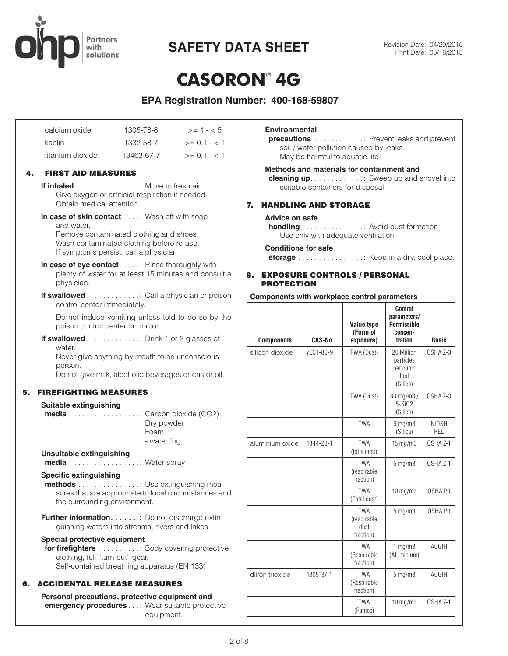

# **CASORON**® **4G**

**EPA Registration Number: 400-168-59807**

| calcium oxide    | 1305-78-8  | $>= 1 - 5$     |
|------------------|------------|----------------|
| kaolin           | 1332-58-7  | $>= 0.1 - 1.1$ |
| titanium dioxide | 13463-67-7 | $>= 0.1 - < 1$ |

## 4. FIRST AID MEASURES

**If inhaled** . . . . . . . . . . . . . . . : Move to fresh air. Give oxygen or artificial respiration if needed. Obtain medical attention.

**In case of skin contact** . . . . : Wash off with soap and water.

Remove contaminated clothing and shoes. Wash contaminated clothing before re-use. If symptoms persist, call a physician.

**In case of eye contact** . . . . : Rinse thoroughly with plenty of water for at least 15 minutes and consult a physician.

**If swallowed** . . . . . . . . . . . . : Call a physician or poison control center immediately.

Do not induce vomiting unless told to do so by the poison control center or doctor.

**If swallowed** . . . . . . . . . . . . : Drink 1 or 2 glasses of water.

Never give anything by mouth to an unconscious person.

Do not give milk, alcoholic beverages or castor oil.

## 5. FIREFIGHTING MEASURES

### **Suitable extinguishing**

| <b>media</b> : Carbon dioxide (CO2) |             |
|-------------------------------------|-------------|
|                                     | Dry powder  |
|                                     | Foam        |
|                                     | - water fog |
|                                     |             |

# **Unsuitable extinguishing**

**media** . . . . . . . . . . . . . . . . : Water spray

## **Specific extinguishing**

**methods** . . . . . . . . . . . . . . : Use extinguishing measures that are appropriate to local circumstances and the surrounding environment.

**Further information.** . . . . . : Do not discharge extinguishing waters into streams, rivers and lakes.

#### **Special protective equipment**

**for firefighters** . . . . . . . . . . . Body covering protective clothing, full "turn-out" gear. Self-contained breathing apparatus (EN 133)

## 6. ACCIDENTAL RELEASE MEASURES

**Personal precautions, protective equipment and emergency procedures** . . : Wear suitable protective equipment.

### **Environmental**

**precautions** . . . . . . . . . . . : Prevent leaks and prevent soil / water pollution caused by leaks. May be harmful to aquatic life.

### **Methods and materials for containment and**

**cleaning up** . . . . . . . . . . . . : Sweep up and shovel into suitable containers for disposal

## 7. HANDLING AND STORAGE

### **Advice on safe**

**handling** . . . . . . . . . . . . . . : Avoid dust formation. Use only with adequate ventilation.

#### **Conditions for safe**

**storage** . . . . . . . . . . . . . . . : Keep in a dry, cool place.

## 8. EXPOSURE CONTROLS / PERSONAL PROTECTION

### **Components with workplace control parameters** *continued*

| <b>Components</b> | CAS-No.   | Value type<br>(Form of<br>exposure)            | <b>Control</b><br>parameters/<br><b>Permissible</b><br>concen-<br>tration | <b>Basis</b>        |
|-------------------|-----------|------------------------------------------------|---------------------------------------------------------------------------|---------------------|
| silicon dioxide   | 7631-86-9 | TWA (Dust)                                     | 20 Million<br>particles<br>per cubic<br>foot<br>(Silica)                  | OSHA Z-3            |
|                   |           | TWA (Dust)                                     | 80 mg/m3/<br>%SiO2<br>(Silica)                                            | OSHA Z-3            |
|                   |           | <b>TWA</b>                                     | $6$ mg/m $3$<br>(Silica)                                                  | <b>NIOSH</b><br>REL |
| aluminium oxide   | 1344-28-1 | <b>TWA</b><br>(total dust)                     | $15 \text{ mg/m}$                                                         | OSHA <sub>Z-1</sub> |
|                   |           | <b>TWA</b><br>(respirable<br>fraction)         | 5 mg/m3                                                                   | OSHA <sub>Z-1</sub> |
|                   |           | <b>TWA</b><br>(Total dust)                     | $10$ mg/m $3$                                                             | OSHAP0              |
|                   |           | <b>TWA</b><br>(respirable<br>dust<br>fraction) | $5$ mg/m $3$                                                              | OSHAP <sub>0</sub>  |
|                   |           | <b>TWA</b><br>(Respirable<br>fraction)         | 1 mg/m3<br>(Aluminium)                                                    | <b>ACGIH</b>        |
| diiron trioxide   | 1309-37-1 | <b>TWA</b><br>(Respirable<br>fraction)         | $5 \,\mathrm{mg/m}$                                                       | <b>ACGIH</b>        |
|                   |           | <b>TWA</b><br>(Fumes)                          | 10 mg/m3                                                                  | OSHA <sub>Z-1</sub> |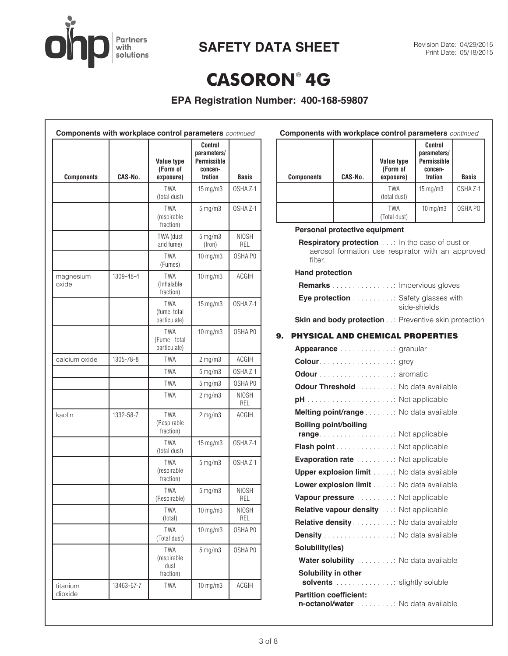

# **SAFETY DATA SHEET** Revision Date: 04/29/2015

# **CASORON**® **4G**

**EPA Registration Number: 400-168-59807**

| <b>Components with workplace control parameters</b> continued |            |                                             |                                                                           |                            |
|---------------------------------------------------------------|------------|---------------------------------------------|---------------------------------------------------------------------------|----------------------------|
| <b>Components</b>                                             | CAS-No.    | Value type<br>(Form of<br>exposure)         | <b>Control</b><br>parameters/<br><b>Permissible</b><br>concen-<br>tration | <b>Basis</b>               |
|                                                               |            | <b>TWA</b><br>(total dust)                  | $15 \text{ mg/m}$                                                         | OSHA <sub>Z-1</sub>        |
|                                                               |            | TWA<br>(respirable<br>fraction)             | $5$ mg/m $3$                                                              | OSHA Z-1                   |
|                                                               |            | TWA (dust<br>and fume)                      | $5$ mg/m $3$<br>(Iron)                                                    | <b>NIOSH</b><br>REL        |
|                                                               |            | <b>TWA</b><br>(Fumes)                       | 10 mg/m3                                                                  | OSHA PO                    |
| magnesium<br>oxide                                            | 1309-48-4  | TWA<br>(Inhalable<br>fraction)              | $10$ mg/m $3$                                                             | <b>ACGIH</b>               |
|                                                               |            | TWA<br>(fume, total<br>particulate)         | 15 mg/m3                                                                  | OSHA <sub>Z-1</sub>        |
|                                                               |            | <b>TWA</b><br>(Fume - total<br>particulate) | 10 mg/m3                                                                  | OSHAP0                     |
| calcium oxide                                                 | 1305-78-8  | TWA                                         | $2$ mg/m $3$                                                              | ACGIH                      |
|                                                               |            | TWA                                         | $5$ mg/m $3$                                                              | OSHA <sub>Z-1</sub>        |
|                                                               |            | TWA                                         | $5 \,\mathrm{mg/m3}$                                                      | OSHAP0                     |
|                                                               |            | TWA                                         | $2$ mg/m $3$                                                              | <b>NIOSH</b><br>REL        |
| kaolin                                                        | 1332-58-7  | TWA<br>(Respirable<br>fraction)             | $2$ mg/m $3$                                                              | <b>ACGIH</b>               |
|                                                               |            | <b>TWA</b><br>(total dust)                  | 15 mg/m3                                                                  | OSHA <sub>Z-1</sub>        |
|                                                               |            | <b>TWA</b><br>(respirable<br>fraction)      | $5$ mg/m $3$                                                              | OSHA <sub>Z-1</sub>        |
|                                                               |            | TWA<br>(Respirable)                         | $5 \,\mathrm{mg/m3}$                                                      | <b>NIOSH</b><br><b>REL</b> |
|                                                               |            | <b>TWA</b><br>(total)                       | $10$ mg/m $3$                                                             | <b>NIOSH</b><br>REL        |
|                                                               |            | <b>TWA</b><br>(Total dust)                  | $10$ mg/m $3$                                                             | OSHA PO                    |
|                                                               |            | TWA<br>(respirable<br>dust<br>fraction)     | $5$ mg/m $3$                                                              | OSHA PO                    |
| titanium<br>dioxide                                           | 13463-67-7 | TWA                                         | 10 mg/m3                                                                  | ACGIH                      |

| <b>Components with workplace control parameters</b> continued |         |                                            |                                                                    |                     |
|---------------------------------------------------------------|---------|--------------------------------------------|--------------------------------------------------------------------|---------------------|
| <b>Components</b>                                             | CAS-No. | <b>Value type</b><br>(Form of<br>exposure) | Control<br>parameters/<br><b>Permissible</b><br>concen-<br>tration | <b>Basis</b>        |
|                                                               |         | <b>TWA</b><br>(total dust)                 | $15 \text{ mg/m}$                                                  | OSHA <sub>Z-1</sub> |
|                                                               |         | TWA<br>(Total dust)                        | $10 \text{ mg/m}$                                                  | OSHA PO             |

### **Personal protective equipment**

**Respiratory protection** . . : In the case of dust or aerosol formation use respirator with an approved filter.

### **Hand protection**

| <b>Remarks</b> The impervious gloves      |              |
|-------------------------------------------|--------------|
| <b>Eye protection</b> Safety glasses with | side-shields |

**Skin and body protection** . .: Preventive skin protection

## 9. PHYSICAL AND CHEMICAL PROPERTIES

| <b>Appearance</b> granular                                         |
|--------------------------------------------------------------------|
|                                                                    |
|                                                                    |
| <b>Odour Threshold</b> No data available                           |
|                                                                    |
| Melting point/range No data available                              |
| <b>Boiling point/boiling</b><br>range Not applicable               |
| Flash point Not applicable                                         |
| <b>Evaporation rate</b> Not applicable                             |
| <b>Upper explosion limit</b> : No data available                   |
| <b>Lower explosion limit</b> : No data available                   |
| Vapour pressure : Not applicable                                   |
| Relative vapour density: Not applicable                            |
| <b>Relative density</b> No data available                          |
| Density No data available                                          |
| Solubility(ies)                                                    |
| Water solubility No data available                                 |
| Solubility in other<br>solvents Slightly soluble                   |
| <b>Partition coefficient:</b><br>n-octanol/water No data available |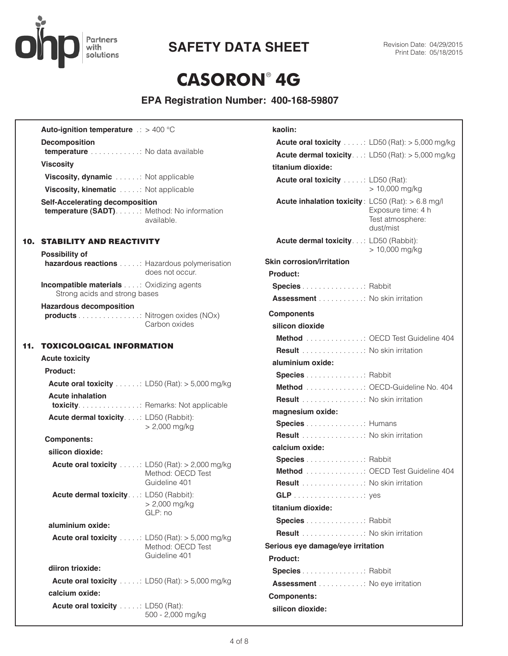

# **CASORON**® **4G**

| <b>Auto-ignition temperature</b> $\therefore$ > 400 °C                         |                                                                               | kaolin:                                           |                                                            |
|--------------------------------------------------------------------------------|-------------------------------------------------------------------------------|---------------------------------------------------|------------------------------------------------------------|
| <b>Decomposition</b>                                                           |                                                                               |                                                   | <b>Acute oral toxicity</b> : LD50 (Rat): $>$ 5,000 mg/kg   |
| temperature No data available                                                  |                                                                               |                                                   | <b>Acute dermal toxicity</b> : LD50 (Rat): $>$ 5,000 mg/kg |
| <b>Viscosity</b>                                                               |                                                                               | titanium dioxide:                                 |                                                            |
| Viscosity, dynamic : Not applicable                                            |                                                                               | <b>Acute oral toxicity</b> : LD50 (Rat):          |                                                            |
| Viscosity, kinematic : Not applicable                                          |                                                                               |                                                   | $> 10,000$ mg/kg                                           |
| Self-Accelerating decomposition<br>temperature (SADT) : Method: No information | available.                                                                    | Acute inhalation toxicity: LC50 (Rat): > 6.8 mg/l | Exposure time: 4 h<br>Test atmosphere:<br>dust/mist        |
| <b>10. STABILITY AND REACTIVITY</b>                                            |                                                                               | Acute dermal toxicity.: LD50 (Rabbit):            |                                                            |
| <b>Possibility of</b>                                                          |                                                                               | Skin corrosion/irritation                         | $> 10,000$ mg/kg                                           |
| hazardous reactions : Hazardous polymerisation                                 | does not occur.                                                               | Product:                                          |                                                            |
| <b>Incompatible materials</b> Oxidizing agents                                 |                                                                               | Species Rabbit                                    |                                                            |
| Strong acids and strong bases                                                  |                                                                               | <b>Assessment</b> No skin irritation              |                                                            |
| <b>Hazardous decomposition</b>                                                 |                                                                               |                                                   |                                                            |
| products Nitrogen oxides (NOx)                                                 | Carbon oxides                                                                 | <b>Components</b>                                 |                                                            |
|                                                                                |                                                                               | silicon dioxide                                   |                                                            |
| <b>11. TOXICOLOGICAL INFORMATION</b>                                           |                                                                               |                                                   | Method : OECD Test Guideline 404                           |
| <b>Acute toxicity</b>                                                          |                                                                               | <b>Result</b> No skin irritation                  |                                                            |
| Product:                                                                       |                                                                               | aluminium oxide:                                  |                                                            |
| Acute oral toxicity : LD50 (Rat): > 5,000 mg/kg                                |                                                                               | Species Rabbit<br>Method OECD-Guideline No. 404   |                                                            |
| <b>Acute inhalation</b>                                                        |                                                                               | Result No skin irritation                         |                                                            |
| toxicity. : Remarks: Not applicable                                            |                                                                               | magnesium oxide:                                  |                                                            |
| Acute dermal toxicity. : LD50 (Rabbit):                                        |                                                                               | Species Humans                                    |                                                            |
|                                                                                | $> 2,000$ mg/kg                                                               | <b>Result</b> No skin irritation                  |                                                            |
| <b>Components:</b>                                                             |                                                                               | calcium oxide:                                    |                                                            |
| silicon dioxide:                                                               |                                                                               | <b>Species</b> Rabbit                             |                                                            |
|                                                                                | <b>Acute oral toxicity</b> : LD50 (Rat): $>$ 2,000 mg/kg<br>Method: OECD Test |                                                   | Method : OECD Test Guideline 404                           |
|                                                                                | Guideline 401                                                                 | <b>Result</b> No skin irritation                  |                                                            |
| Acute dermal toxicity: LD50 (Rabbit):                                          |                                                                               |                                                   |                                                            |
|                                                                                | $> 2,000$ mg/kg<br>GLP: no                                                    | titanium dioxide:                                 |                                                            |
| aluminium oxide:                                                               |                                                                               | <b>Species</b> Rabbit                             |                                                            |
|                                                                                |                                                                               | <b>Result</b> No skin irritation                  |                                                            |
|                                                                                | <b>Acute oral toxicity</b> : LD50 (Rat): $>$ 5,000 mg/kg<br>Method: OECD Test | Serious eye damage/eye irritation                 |                                                            |
|                                                                                | Guideline 401                                                                 | Product:                                          |                                                            |
| diiron trioxide:                                                               |                                                                               | <b>Species</b> Rabbit                             |                                                            |
|                                                                                | <b>Acute oral toxicity</b> : LD50 (Rat): $>$ 5,000 mg/kg                      | <b>Assessment</b> No eye irritation               |                                                            |
| calcium oxide:                                                                 |                                                                               | <b>Components:</b>                                |                                                            |
| <b>Acute oral toxicity</b> : LD50 (Rat):                                       | 500 - 2,000 mg/kg                                                             | silicon dioxide:                                  |                                                            |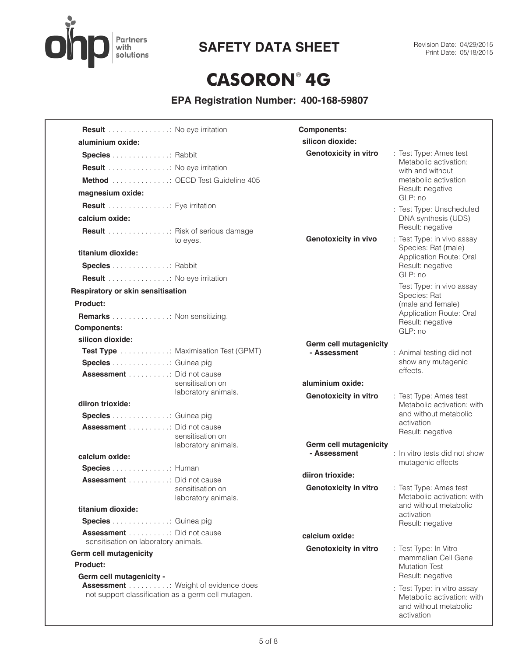

# **SAFETY DATA SHEET** Revision Date: 04/29/2015

# **CASORON**® **4G**

| <b>Result</b> No eye irritation                                                                 |                                         | <b>Components:</b>                     |                                                                                                  |
|-------------------------------------------------------------------------------------------------|-----------------------------------------|----------------------------------------|--------------------------------------------------------------------------------------------------|
| aluminium oxide:                                                                                |                                         | silicon dioxide:                       |                                                                                                  |
| <b>Species</b> Rabbit                                                                           |                                         | <b>Genotoxicity in vitro</b>           | : Test Type: Ames test<br>Metabolic activation:                                                  |
| Result No eye irritation                                                                        |                                         |                                        | with and without                                                                                 |
| Method OECD Test Guideline 405                                                                  |                                         |                                        | metabolic activation                                                                             |
| magnesium oxide:                                                                                |                                         |                                        | Result: negative<br>GLP: no                                                                      |
| Result Eye irritation                                                                           |                                         |                                        | : Test Type: Unscheduled                                                                         |
| calcium oxide:                                                                                  |                                         |                                        | DNA synthesis (UDS)                                                                              |
| <b>Result</b> Risk of serious damage                                                            | to eyes.                                | <b>Genotoxicity in vivo</b>            | Result: negative<br>: Test Type: in vivo assay                                                   |
| titanium dioxide:                                                                               |                                         |                                        | Species: Rat (male)<br>Application Route: Oral                                                   |
| Species Rabbit                                                                                  |                                         |                                        | Result: negative                                                                                 |
| Result No eye irritation                                                                        |                                         |                                        | GLP: no                                                                                          |
| Respiratory or skin sensitisation                                                               |                                         |                                        | Test Type: in vivo assay<br>Species: Rat                                                         |
| Product:                                                                                        |                                         |                                        | (male and female)                                                                                |
| Remarks Non sensitizing.                                                                        |                                         |                                        | Application Route: Oral                                                                          |
| <b>Components:</b>                                                                              |                                         |                                        | Result: negative<br>GLP: no                                                                      |
| silicon dioxide:                                                                                |                                         | Germ cell mutagenicity                 |                                                                                                  |
| <b>Test Type</b> Maximisation Test (GPMT)                                                       |                                         | - Assessment                           | : Animal testing did not                                                                         |
| Species Guinea pig                                                                              |                                         |                                        | show any mutagenic                                                                               |
| <b>Assessment</b> Did not cause                                                                 |                                         |                                        | effects.                                                                                         |
|                                                                                                 | sensitisation on<br>laboratory animals. | aluminium oxide:                       |                                                                                                  |
| diiron trioxide:                                                                                |                                         | <b>Genotoxicity in vitro</b>           | : Test Type: Ames test<br>Metabolic activation: with                                             |
| Species Guinea pig                                                                              |                                         |                                        | and without metabolic                                                                            |
| Assessment Did not cause                                                                        |                                         |                                        | activation<br>Result: negative                                                                   |
|                                                                                                 | sensitisation on                        |                                        |                                                                                                  |
|                                                                                                 | laboratory animals.                     | Germ cell mutagenicity<br>- Assessment | : In vitro tests did not show                                                                    |
| calcium oxide:                                                                                  |                                         |                                        | mutagenic effects                                                                                |
| Species Human<br>Assessment Did not cause                                                       |                                         | diiron trioxide:                       |                                                                                                  |
|                                                                                                 | sensitisation on                        | <b>Genotoxicity in vitro</b>           | : Test Type: Ames test                                                                           |
|                                                                                                 | laboratory animals.                     |                                        | Metabolic activation: with                                                                       |
| titanium dioxide:                                                                               |                                         |                                        | and without metabolic<br>activation                                                              |
| Species Guinea pig                                                                              |                                         |                                        | Result: negative                                                                                 |
| <b>Assessment</b> : Did not cause<br>sensitisation on laboratory animals.                       |                                         | calcium oxide:                         |                                                                                                  |
| <b>Germ cell mutagenicity</b>                                                                   |                                         | <b>Genotoxicity in vitro</b>           | : Test Type: In Vitro<br>mammalian Cell Gene                                                     |
| Product:                                                                                        |                                         |                                        | <b>Mutation Test</b>                                                                             |
| Germ cell mutagenicity -                                                                        |                                         |                                        | Result: negative                                                                                 |
| <b>Assessment</b> Weight of evidence does<br>not support classification as a germ cell mutagen. |                                         |                                        | : Test Type: in vitro assay<br>Metabolic activation: with<br>and without metabolic<br>activation |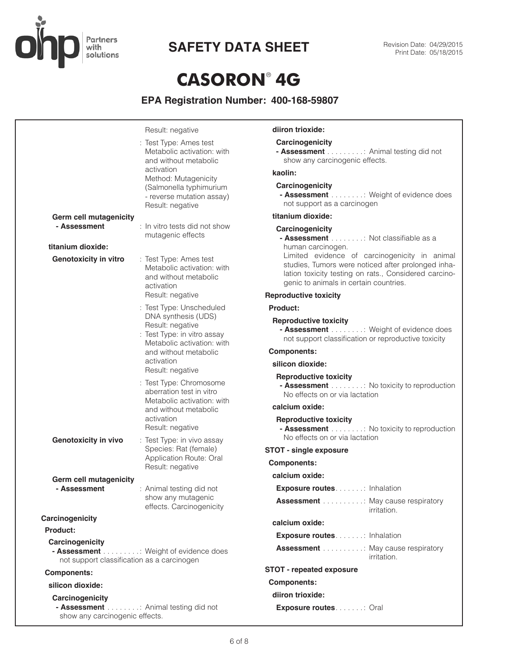

# **CASORON**® **4G**

|                                                               | Result: negative                                                                                                                            | diiron trioxide:                                                                                                                                                                                       |
|---------------------------------------------------------------|---------------------------------------------------------------------------------------------------------------------------------------------|--------------------------------------------------------------------------------------------------------------------------------------------------------------------------------------------------------|
|                                                               | : Test Type: Ames test<br>Metabolic activation: with<br>and without metabolic                                                               | Carcinogenicity<br>- Assessment : Animal testing did not<br>show any carcinogenic effects.                                                                                                             |
|                                                               | activation                                                                                                                                  | kaolin:                                                                                                                                                                                                |
|                                                               | Method: Mutagenicity<br>(Salmonella typhimurium<br>- reverse mutation assay)<br>Result: negative                                            | Carcinogenicity<br>- Assessment : Weight of evidence does<br>not support as a carcinogen                                                                                                               |
| <b>Germ cell mutagenicity</b>                                 |                                                                                                                                             | titanium dioxide:                                                                                                                                                                                      |
| - Assessment<br>titanium dioxide:                             | : In vitro tests did not show<br>mutagenic effects                                                                                          | Carcinogenicity<br>- Assessment : Not classifiable as a<br>human carcinogen.                                                                                                                           |
| <b>Genotoxicity in vitro</b>                                  | : Test Type: Ames test<br>Metabolic activation: with<br>and without metabolic<br>activation                                                 | Limited evidence of carcinogenicity in animal<br>studies, Tumors were noticed after prolonged inha-<br>lation toxicity testing on rats., Considered carcino-<br>genic to animals in certain countries. |
|                                                               | Result: negative                                                                                                                            | <b>Reproductive toxicity</b>                                                                                                                                                                           |
|                                                               | : Test Type: Unscheduled                                                                                                                    | Product:                                                                                                                                                                                               |
|                                                               | DNA synthesis (UDS)<br>Result: negative<br>: Test Type: in vitro assay<br>Metabolic activation: with<br>and without metabolic<br>activation | <b>Reproductive toxicity</b><br>- Assessment : Weight of evidence does<br>not support classification or reproductive toxicity                                                                          |
|                                                               |                                                                                                                                             | <b>Components:</b>                                                                                                                                                                                     |
|                                                               |                                                                                                                                             | silicon dioxide:                                                                                                                                                                                       |
|                                                               | Result: negative<br>: Test Type: Chromosome<br>aberration test in vitro<br>Metabolic activation: with<br>and without metabolic              | <b>Reproductive toxicity</b><br>- Assessment : No toxicity to reproduction<br>No effects on or via lactation                                                                                           |
|                                                               |                                                                                                                                             | calcium oxide:                                                                                                                                                                                         |
|                                                               | activation<br>Result: negative                                                                                                              | <b>Reproductive toxicity</b><br>- Assessment : No toxicity to reproduction<br>No effects on or via lactation                                                                                           |
| <b>Genotoxicity in vivo</b>                                   | : Test Type: in vivo assay<br>Species: Rat (female)<br>Application Route: Oral                                                              | <b>STOT - single exposure</b>                                                                                                                                                                          |
|                                                               |                                                                                                                                             | <b>Components:</b>                                                                                                                                                                                     |
|                                                               | Result: negative                                                                                                                            | calcium oxide:                                                                                                                                                                                         |
| Germ cell mutagenicity<br>- Assessment                        | : Animal testing did not                                                                                                                    | <b>Exposure routes: Inhalation</b>                                                                                                                                                                     |
|                                                               | show any mutagenic<br>effects. Carcinogenicity                                                                                              | <b>Assessment</b> May cause respiratory<br>irritation.                                                                                                                                                 |
| Carcinogenicity                                               |                                                                                                                                             | calcium oxide:                                                                                                                                                                                         |
| Product:                                                      |                                                                                                                                             | <b>Exposure routes</b> : Inhalation                                                                                                                                                                    |
| Carcinogenicity<br>not support classification as a carcinogen | - Assessment : Weight of evidence does                                                                                                      | <b>Assessment</b> Hay cause respiratory<br>irritation.                                                                                                                                                 |
| <b>Components:</b>                                            |                                                                                                                                             | <b>STOT - repeated exposure</b>                                                                                                                                                                        |
| silicon dioxide:                                              |                                                                                                                                             | <b>Components:</b>                                                                                                                                                                                     |
| Carcinogenicity                                               |                                                                                                                                             | diiron trioxide:                                                                                                                                                                                       |
| show any carcinogenic effects.                                | - Assessment : Animal testing did not                                                                                                       | <b>Exposure routes</b> Oral                                                                                                                                                                            |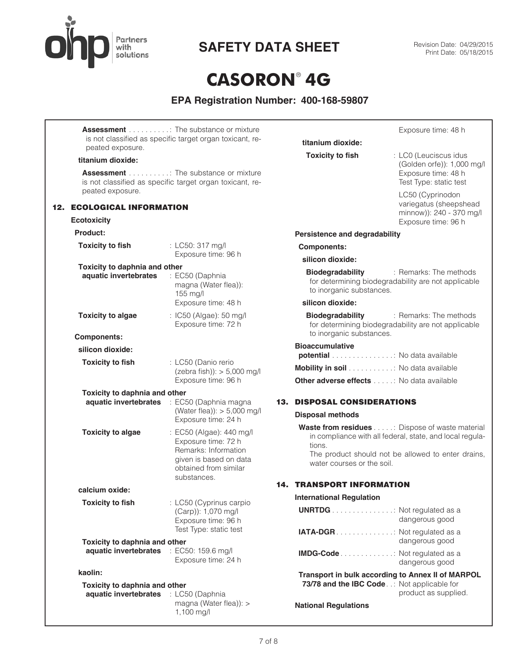

# SAFETY DATA SHEET<br>Print Date: 05/18/2015

# **CASORON**® **4G**

|                                                                        | <b>Assessment</b> The substance or mixture                                                                                                |                                                               | Exposure time: 48 h                                                                                                                                               |
|------------------------------------------------------------------------|-------------------------------------------------------------------------------------------------------------------------------------------|---------------------------------------------------------------|-------------------------------------------------------------------------------------------------------------------------------------------------------------------|
| peated exposure.                                                       | is not classified as specific target organ toxicant, re-                                                                                  | titanium dioxide:                                             |                                                                                                                                                                   |
| titanium dioxide:                                                      |                                                                                                                                           | <b>Toxicity to fish</b>                                       | : LC0 (Leuciscus idus<br>(Golden orfe)): 1,000 mg/l                                                                                                               |
|                                                                        | <b>Assessment</b> The substance or mixture<br>is not classified as specific target organ toxicant, re-                                    |                                                               | Exposure time: 48 h<br>Test Type: static test                                                                                                                     |
| peated exposure.<br><b>12. ECOLOGICAL INFORMATION</b>                  |                                                                                                                                           |                                                               | LC50 (Cyprinodon<br>variegatus (sheepshead                                                                                                                        |
| <b>Ecotoxicity</b>                                                     |                                                                                                                                           |                                                               | minnow)): 240 - 370 mg/l<br>Exposure time: 96 h                                                                                                                   |
| Product:                                                               |                                                                                                                                           | Persistence and degradability                                 |                                                                                                                                                                   |
| <b>Toxicity to fish</b>                                                | : LC50: 317 mg/l                                                                                                                          | <b>Components:</b>                                            |                                                                                                                                                                   |
|                                                                        | Exposure time: 96 h                                                                                                                       | silicon dioxide:                                              |                                                                                                                                                                   |
| Toxicity to daphnia and other<br>aquatic invertebrates                 | : EC50 (Daphnia<br>magna (Water flea)):<br>155 mg/l                                                                                       | Biodegradability<br>to inorganic substances.                  | : Remarks: The methods<br>for determining biodegradability are not applicable                                                                                     |
|                                                                        | Exposure time: 48 h                                                                                                                       | silicon dioxide:                                              |                                                                                                                                                                   |
| <b>Toxicity to algae</b>                                               | : IC50 (Algae): 50 mg/l<br>Exposure time: 72 h                                                                                            | <b>Biodegradability</b><br>to inorganic substances.           | : Remarks: The methods<br>for determining biodegradability are not applicable                                                                                     |
| <b>Components:</b>                                                     |                                                                                                                                           | <b>Bioaccumulative</b>                                        |                                                                                                                                                                   |
| silicon dioxide:                                                       |                                                                                                                                           | potential No data available                                   |                                                                                                                                                                   |
| <b>Toxicity to fish</b>                                                | : LC50 (Danio rerio<br>$(zebra fish))$ : > 5,000 mg/l                                                                                     | Mobility in soil No data available                            |                                                                                                                                                                   |
|                                                                        | Exposure time: 96 h                                                                                                                       | Other adverse effects No data available                       |                                                                                                                                                                   |
| Toxicity to daphnia and other                                          | aquatic invertebrates : EC50 (Daphnia magna<br>(Water flea)): $> 5,000$ mg/l<br>Exposure time: 24 h                                       | <b>13. DISPOSAL CONSIDERATIONS</b><br><b>Disposal methods</b> |                                                                                                                                                                   |
| <b>Toxicity to algae</b>                                               | : EC50 (Algae): 440 mg/l<br>Exposure time: 72 h<br>Remarks: Information<br>given is based on data<br>obtained from similar<br>substances. | tions.<br>water courses or the soil.                          | Waste from residues : Dispose of waste material<br>in compliance with all federal, state, and local regula-<br>The product should not be allowed to enter drains, |
| calcium oxide:                                                         |                                                                                                                                           | <b>14. TRANSPORT INFORMATION</b>                              |                                                                                                                                                                   |
| <b>Toxicity to fish</b>                                                | : LC50 (Cyprinus carpio                                                                                                                   | <b>International Regulation</b>                               |                                                                                                                                                                   |
|                                                                        | (Carp)): 1,070 mg/l<br>Exposure time: 96 h                                                                                                | <b>UNRTDG</b> Not regulated as a                              | dangerous good                                                                                                                                                    |
|                                                                        | Test Type: static test                                                                                                                    | IATA-DGR. Not regulated as a                                  | dangerous good                                                                                                                                                    |
| Toxicity to daphnia and other<br>aquatic invertebrates                 | : EC50: 159.6 mg/l<br>Exposure time: 24 h                                                                                                 | <b>IMDG-Code</b> Not regulated as a                           | dangerous good                                                                                                                                                    |
| kaolin:                                                                |                                                                                                                                           |                                                               | Transport in bulk according to Annex II of MARPOL                                                                                                                 |
| Toxicity to daphnia and other<br>aquatic invertebrates : LC50 (Daphnia |                                                                                                                                           | 73/78 and the IBC Code. .: Not applicable for                 | product as supplied.                                                                                                                                              |
|                                                                        | magna (Water flea)): ><br>1,100 mg/l                                                                                                      | <b>National Regulations</b>                                   |                                                                                                                                                                   |